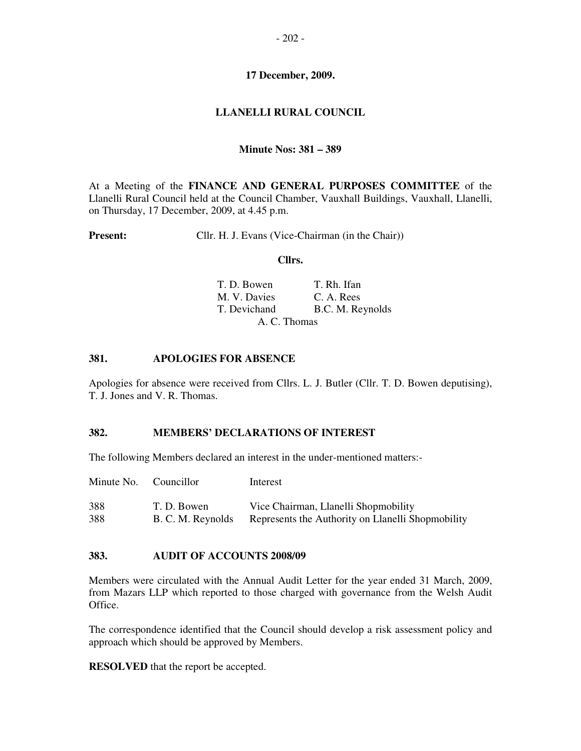### **17 December, 2009.**

# **LLANELLI RURAL COUNCIL**

### **Minute Nos: 381 – 389**

At a Meeting of the **FINANCE AND GENERAL PURPOSES COMMITTEE** of the Llanelli Rural Council held at the Council Chamber, Vauxhall Buildings, Vauxhall, Llanelli, on Thursday, 17 December, 2009, at 4.45 p.m.

**Present:** Cllr. H. J. Evans (Vice-Chairman (in the Chair))

#### **Cllrs.**

| T. D. Bowen  | T. Rh. Ifan      |
|--------------|------------------|
| M. V. Davies | C. A. Rees       |
| T. Devichand | B.C. M. Reynolds |
| A. C. Thomas |                  |

### **381. APOLOGIES FOR ABSENCE**

Apologies for absence were received from Cllrs. L. J. Butler (Cllr. T. D. Bowen deputising), T. J. Jones and V. R. Thomas.

#### **382. MEMBERS' DECLARATIONS OF INTEREST**

The following Members declared an interest in the under-mentioned matters:-

| Minute No. Councillor |                   | Interest                                          |
|-----------------------|-------------------|---------------------------------------------------|
| 388                   | T. D. Bowen       | Vice Chairman, Llanelli Shopmobility              |
| 388                   | B. C. M. Reynolds | Represents the Authority on Llanelli Shopmobility |

#### **383. AUDIT OF ACCOUNTS 2008/09**

Members were circulated with the Annual Audit Letter for the year ended 31 March, 2009, from Mazars LLP which reported to those charged with governance from the Welsh Audit Office.

The correspondence identified that the Council should develop a risk assessment policy and approach which should be approved by Members.

**RESOLVED** that the report be accepted.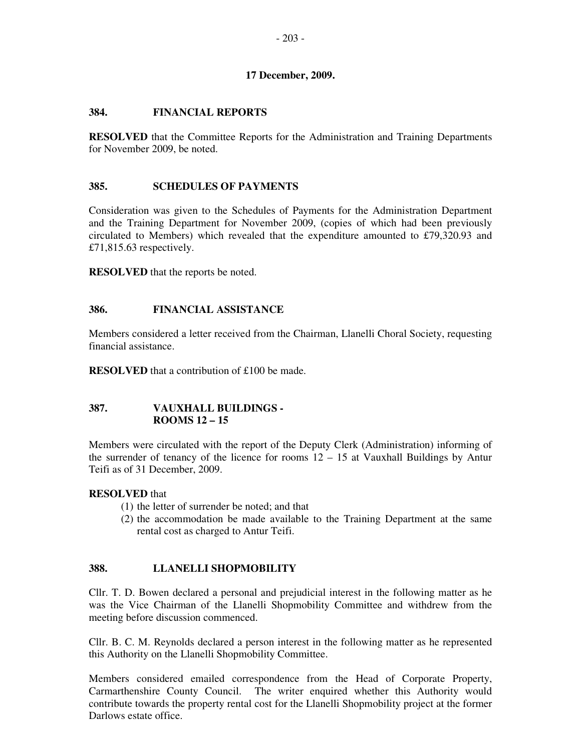### **17 December, 2009.**

### **384. FINANCIAL REPORTS**

**RESOLVED** that the Committee Reports for the Administration and Training Departments for November 2009, be noted.

#### **385. SCHEDULES OF PAYMENTS**

Consideration was given to the Schedules of Payments for the Administration Department and the Training Department for November 2009, (copies of which had been previously circulated to Members) which revealed that the expenditure amounted to £79,320.93 and £71,815.63 respectively.

**RESOLVED** that the reports be noted.

### **386. FINANCIAL ASSISTANCE**

Members considered a letter received from the Chairman, Llanelli Choral Society, requesting financial assistance.

**RESOLVED** that a contribution of £100 be made.

### **387. VAUXHALL BUILDINGS - ROOMS 12 – 15**

Members were circulated with the report of the Deputy Clerk (Administration) informing of the surrender of tenancy of the licence for rooms  $12 - 15$  at Vauxhall Buildings by Antur Teifi as of 31 December, 2009.

# **RESOLVED** that

- (1) the letter of surrender be noted; and that
- (2) the accommodation be made available to the Training Department at the same rental cost as charged to Antur Teifi.

# **388. LLANELLI SHOPMOBILITY**

Cllr. T. D. Bowen declared a personal and prejudicial interest in the following matter as he was the Vice Chairman of the Llanelli Shopmobility Committee and withdrew from the meeting before discussion commenced.

Cllr. B. C. M. Reynolds declared a person interest in the following matter as he represented this Authority on the Llanelli Shopmobility Committee.

Members considered emailed correspondence from the Head of Corporate Property, Carmarthenshire County Council. The writer enquired whether this Authority would contribute towards the property rental cost for the Llanelli Shopmobility project at the former Darlows estate office.